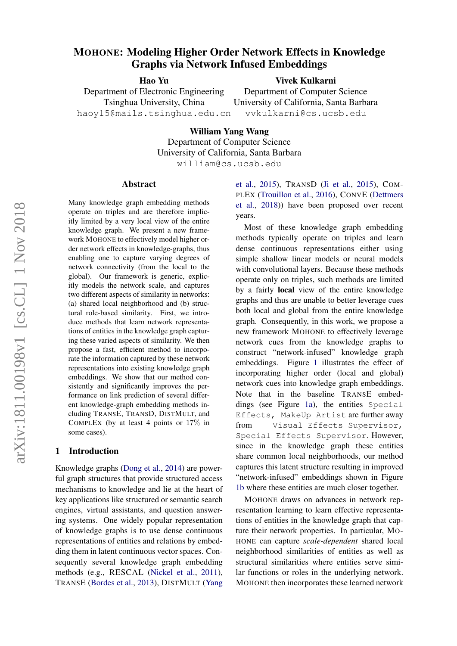# MOHONE: Modeling Higher Order Network Effects in Knowledge Graphs via Network Infused Embeddings

Hao Yu

Vivek Kulkarni

Department of Electronic Engineering Tsinghua University, China haoy15@mails.tsinghua.edu.cn

Department of Computer Science University of California, Santa Barbara vvkulkarni@cs.ucsb.edu

William Yang Wang Department of Computer Science University of California, Santa Barbara william@cs.ucsb.edu

#### Abstract

Many knowledge graph embedding methods operate on triples and are therefore implicitly limited by a very local view of the entire knowledge graph. We present a new framework MOHONE to effectively model higher order network effects in knowledge-graphs, thus enabling one to capture varying degrees of network connectivity (from the local to the global). Our framework is generic, explicitly models the network scale, and captures two different aspects of similarity in networks: (a) shared local neighborhood and (b) structural role-based similarity. First, we introduce methods that learn network representations of entities in the knowledge graph capturing these varied aspects of similarity. We then propose a fast, efficient method to incorporate the information captured by these network representations into existing knowledge graph embeddings. We show that our method consistently and significantly improves the performance on link prediction of several different knowledge-graph embedding methods including TRANSE, TRANSD, DISTMULT, and COMPLEX (by at least 4 points or 17% in some cases).

#### 1 Introduction

Knowledge graphs [\(Dong et al.,](#page-9-0) [2014\)](#page-9-0) are powerful graph structures that provide structured access mechanisms to knowledge and lie at the heart of key applications like structured or semantic search engines, virtual assistants, and question answering systems. One widely popular representation of knowledge graphs is to use dense continuous representations of entities and relations by embedding them in latent continuous vector spaces. Consequently several knowledge graph embedding methods (e.g., RESCAL [\(Nickel et al.,](#page-9-1) [2011\)](#page-9-1), TRANSE [\(Bordes et al.,](#page-9-2) [2013\)](#page-9-2), DISTMULT [\(Yang](#page-9-3)

[et al.,](#page-9-3) [2015\)](#page-9-3), TRANSD [\(Ji et al.,](#page-9-4) [2015\)](#page-9-4), COM-PLEX [\(Trouillon et al.,](#page-9-5) [2016\)](#page-9-5), CONVE [\(Dettmers](#page-9-6) [et al.,](#page-9-6) [2018\)](#page-9-6)) have been proposed over recent years.

Most of these knowledge graph embedding methods typically operate on triples and learn dense continuous representations either using simple shallow linear models or neural models with convolutional layers. Because these methods operate only on triples, such methods are limited by a fairly local view of the entire knowledge graphs and thus are unable to better leverage cues both local and global from the entire knowledge graph. Consequently, in this work, we propose a new framework MOHONE to effectively leverage network cues from the knowledge graphs to construct "network-infused" knowledge graph embeddings. Figure [1](#page-2-0) illustrates the effect of incorporating higher order (local and global) network cues into knowledge graph embeddings. Note that in the baseline TRANSE embeddings (see Figure [1a\)](#page-2-0), the entities Special Effects, MakeUp Artist are further away from Visual Effects Supervisor, Special Effects Supervisor. However, since in the knowledge graph these entities share common local neighborhoods, our method captures this latent structure resulting in improved "network-infused" embeddings shown in Figure [1b](#page-2-0) where these entities are much closer together.

MOHONE draws on advances in network representation learning to learn effective representations of entities in the knowledge graph that capture their network properties. In particular, MO-HONE can capture *scale-dependent* shared local neighborhood similarities of entities as well as structural similarities where entities serve similar functions or roles in the underlying network. MOHONE then incorporates these learned network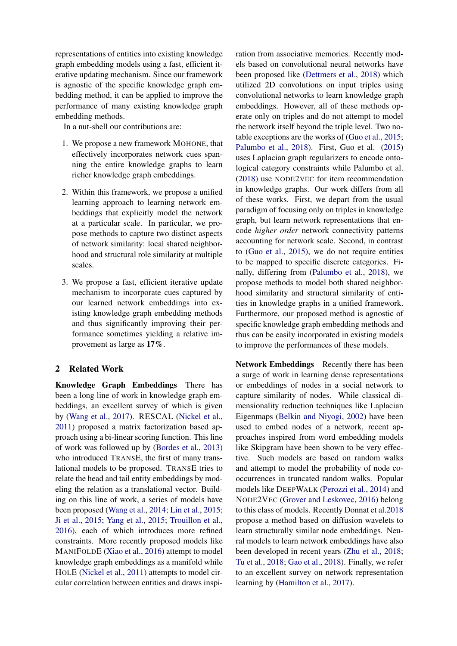representations of entities into existing knowledge graph embedding models using a fast, efficient iterative updating mechanism. Since our framework is agnostic of the specific knowledge graph embedding method, it can be applied to improve the performance of many existing knowledge graph embedding methods.

In a nut-shell our contributions are:

- 1. We propose a new framework MOHONE, that effectively incorporates network cues spanning the entire knowledge graphs to learn richer knowledge graph embeddings.
- 2. Within this framework, we propose a unified learning approach to learning network embeddings that explicitly model the network at a particular scale. In particular, we propose methods to capture two distinct aspects of network similarity: local shared neighborhood and structural role similarity at multiple scales.
- 3. We propose a fast, efficient iterative update mechanism to incorporate cues captured by our learned network embeddings into existing knowledge graph embedding methods and thus significantly improving their performance sometimes yielding a relative improvement as large as 17%.

# 2 Related Work

Knowledge Graph Embeddings There has been a long line of work in knowledge graph embeddings, an excellent survey of which is given by [\(Wang et al.,](#page-9-7) [2017\)](#page-9-7). RESCAL [\(Nickel et al.,](#page-9-1) [2011\)](#page-9-1) proposed a matrix factorization based approach using a bi-linear scoring function. This line of work was followed up by [\(Bordes et al.,](#page-9-2) [2013\)](#page-9-2) who introduced TRANSE, the first of many translational models to be proposed. TRANSE tries to relate the head and tail entity embeddings by modeling the relation as a translational vector. Building on this line of work, a series of models have been proposed [\(Wang et al.,](#page-9-8) [2014;](#page-9-8) [Lin et al.,](#page-9-9) [2015;](#page-9-9) [Ji et al.,](#page-9-4) [2015;](#page-9-4) [Yang et al.,](#page-9-3) [2015;](#page-9-3) [Trouillon et al.,](#page-9-5) [2016\)](#page-9-5), each of which introduces more refined constraints. More recently proposed models like MANIFOLDE [\(Xiao et al.,](#page-9-10) [2016\)](#page-9-10) attempt to model knowledge graph embeddings as a manifold while HOLE [\(Nickel et al.,](#page-9-1) [2011\)](#page-9-1) attempts to model circular correlation between entities and draws inspiration from associative memories. Recently models based on convolutional neural networks have been proposed like [\(Dettmers et al.,](#page-9-6) [2018\)](#page-9-6) which utilized 2D convolutions on input triples using convolutional networks to learn knowledge graph embeddings. However, all of these methods operate only on triples and do not attempt to model the network itself beyond the triple level. Two notable exceptions are the works of [\(Guo et al.,](#page-9-11) [2015;](#page-9-11) [Palumbo et al.,](#page-9-12) [2018\)](#page-9-12). First, Guo et al. [\(2015\)](#page-9-11) uses Laplacian graph regularizers to encode ontological category constraints while Palumbo et al. [\(2018\)](#page-9-12) use NODE2VEC for item recommendation in knowledge graphs. Our work differs from all of these works. First, we depart from the usual paradigm of focusing only on triples in knowledge graph, but learn network representations that encode *higher order* network connectivity patterns accounting for network scale. Second, in contrast to [\(Guo et al.,](#page-9-11) [2015\)](#page-9-11), we do not require entities to be mapped to specific discrete categories. Finally, differing from [\(Palumbo et al.,](#page-9-12) [2018\)](#page-9-12), we propose methods to model both shared neighborhood similarity and structural similarity of entities in knowledge graphs in a unified framework. Furthermore, our proposed method is agnostic of specific knowledge graph embedding methods and thus can be easily incorporated in existing models to improve the performances of these models.

Network Embeddings Recently there has been a surge of work in learning dense representations or embeddings of nodes in a social network to capture similarity of nodes. While classical dimensionality reduction techniques like Laplacian Eigenmaps [\(Belkin and Niyogi,](#page-8-0) [2002\)](#page-8-0) have been used to embed nodes of a network, recent approaches inspired from word embedding models like Skipgram have been shown to be very effective. Such models are based on random walks and attempt to model the probability of node cooccurrences in truncated random walks. Popular models like DEEPWALK [\(Perozzi et al.,](#page-9-13) [2014\)](#page-9-13) and NODE2VEC [\(Grover and Leskovec,](#page-9-14) [2016\)](#page-9-14) belong to this class of models. Recently Donnat et al[.2018](#page-9-15) propose a method based on diffusion wavelets to learn structurally similar node embeddings. Neural models to learn network embeddings have also been developed in recent years [\(Zhu et al.,](#page-10-0) [2018;](#page-10-0) [Tu et al.,](#page-9-16) [2018;](#page-9-16) [Gao et al.,](#page-9-17) [2018\)](#page-9-17). Finally, we refer to an excellent survey on network representation learning by [\(Hamilton et al.,](#page-9-18) [2017\)](#page-9-18).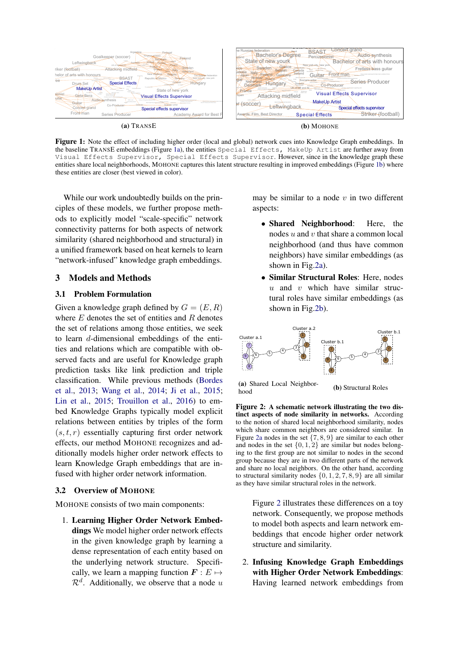<span id="page-2-0"></span>

Figure 1: Note the effect of including higher order (local and global) network cues into Knowledge Graph embeddings. In the baseline TRANSE embeddings (Figure [1a\)](#page-2-0), the entities Special Effects, MakeUp Artist are further away from Visual Effects Supervisor, Special Effects Supervisor. However, since in the knowledge graph these entities share local neighborhoods, MOHONE captures this latent structure resulting in improved embeddings (Figure [1b\)](#page-2-0) where these entities are closer (best viewed in color).

While our work undoubtedly builds on the principles of these models, we further propose methods to explicitly model "scale-specific" network connectivity patterns for both aspects of network similarity (shared neighborhood and structural) in a unified framework based on heat kernels to learn "network-infused" knowledge graph embeddings.

#### 3 Models and Methods

#### 3.1 Problem Formulation

Given a knowledge graph defined by  $G = (E, R)$ where  $E$  denotes the set of entities and  $R$  denotes the set of relations among those entities, we seek to learn d-dimensional embeddings of the entities and relations which are compatible with observed facts and are useful for Knowledge graph prediction tasks like link prediction and triple classification. While previous methods [\(Bordes](#page-9-2) [et al.,](#page-9-2) [2013;](#page-9-2) [Wang et al.,](#page-9-8) [2014;](#page-9-8) [Ji et al.,](#page-9-4) [2015;](#page-9-4) [Lin et al.,](#page-9-9) [2015;](#page-9-9) [Trouillon et al.,](#page-9-5) [2016\)](#page-9-5) to embed Knowledge Graphs typically model explicit relations between entities by triples of the form  $(s, t, r)$  essentially capturing first order network effects, our method MOHONE recognizes and additionally models higher order network effects to learn Knowledge Graph embeddings that are infused with higher order network information.

#### 3.2 Overview of MOHONE

MOHONE consists of two main components:

1. Learning Higher Order Network Embeddings We model higher order network effects in the given knowledge graph by learning a dense representation of each entity based on the underlying network structure. Specifically, we learn a mapping function  $\mathbf{F} : E \mapsto$  $\mathcal{R}^d$ . Additionally, we observe that a node u

may be similar to a node  $v$  in two different aspects:

- Shared Neighborhood: Here, the nodes  $u$  and  $v$  that share a common local neighborhood (and thus have common neighbors) have similar embeddings (as shown in Fig[.2a\)](#page-2-1).
- Similar Structural Roles: Here, nodes  $u$  and  $v$  which have similar structural roles have similar embeddings (as shown in Fig[.2b\)](#page-2-1).

<span id="page-2-1"></span>

(a) Shared Local Neighborhood (b) Structural Roles

Figure 2: A schematic network illustrating the two distinct aspects of node similarity in networks. According to the notion of shared local neighborhood similarity, nodes which share common neighbors are considered similar. In Figure [2a](#page-2-1) nodes in the set  $\{7, 8, 9\}$  are similar to each other and nodes in the set  $\{0, 1, 2\}$  are similar but nodes belonging to the first group are not similar to nodes in the second group because they are in two different parts of the network and share no local neighbors. On the other hand, according to structural similarity nodes  $\{0, 1, 2, 7, 8, 9\}$  are all similar as they have similar structural roles in the network.

Figure [2](#page-2-1) illustrates these differences on a toy network. Consequently, we propose methods to model both aspects and learn network embeddings that encode higher order network structure and similarity.

2. Infusing Knowledge Graph Embeddings with Higher Order Network Embeddings: Having learned network embeddings from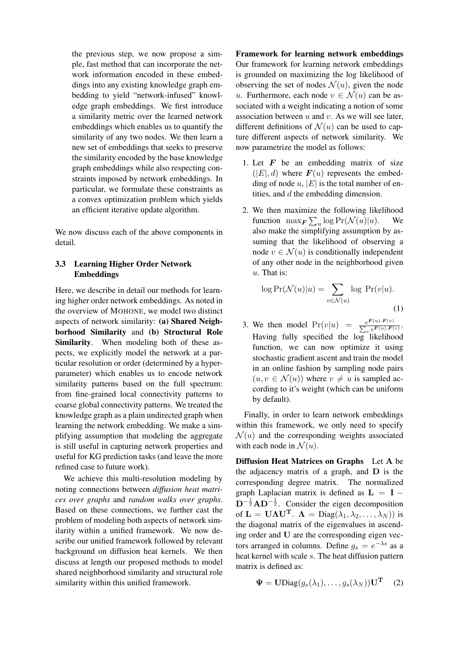the previous step, we now propose a simple, fast method that can incorporate the network information encoded in these embeddings into any existing knowledge graph embedding to yield "network-infused" knowledge graph embeddings. We first introduce a similarity metric over the learned network embeddings which enables us to quantify the similarity of any two nodes. We then learn a new set of embeddings that seeks to preserve the similarity encoded by the base knowledge graph embeddings while also respecting constraints imposed by network embeddings. In particular, we formulate these constraints as a convex optimization problem which yields an efficient iterative update algorithm.

We now discuss each of the above components in detail.

# 3.3 Learning Higher Order Network Embeddings

Here, we describe in detail our methods for learning higher order network embeddings. As noted in the overview of MOHONE, we model two distinct aspects of network similarity: (a) Shared Neighborhood Similarity and (b) Structural Role Similarity. When modeling both of these aspects, we explicitly model the network at a particular resolution or order (determined by a hyperparameter) which enables us to encode network similarity patterns based on the full spectrum: from fine-grained local connectivity patterns to coarse global connectivity patterns. We treated the knowledge graph as a plain undirected graph when learning the network embedding. We make a simplifying assumption that modeling the aggregate is still useful in capturing network properties and useful for KG prediction tasks (and leave the more refined case to future work).

We achieve this multi-resolution modeling by noting connections between *diffusion heat matrices over graphs* and *random walks over graphs*. Based on these connections, we further cast the problem of modeling both aspects of network similarity within a unified framework. We now describe our unified framework followed by relevant background on diffusion heat kernels. We then discuss at length our proposed methods to model shared neighborhood similarity and structural role similarity within this unified framework.

Framework for learning network embeddings Our framework for learning network embeddings is grounded on maximizing the log likelihood of observing the set of nodes  $\mathcal{N}(u)$ , given the node u. Furthermore, each node  $v \in \mathcal{N}(u)$  can be associated with a weight indicating a notion of some association between  $u$  and  $v$ . As we will see later, different definitions of  $\mathcal{N}(u)$  can be used to capture different aspects of network similarity. We now parametrize the model as follows:

- 1. Let  $F$  be an embedding matrix of size  $(|E|, d)$  where  $\mathbf{F}(u)$  represents the embedding of node  $u$ ,  $|E|$  is the total number of entities, and d the embedding dimension.
- 2. We then maximize the following likelihood function  $\max_{\mathbf{F}} \sum_{u} \log \Pr(\mathcal{N}(u)|u)$ . We also make the simplifying assumption by assuming that the likelihood of observing a node  $v \in \mathcal{N}(u)$  is conditionally independent of any other node in the neighborhood given u. That is:

$$
\log \Pr(\mathcal{N}(u)|u) = \sum_{v \in \mathcal{N}(u)} \log \Pr(v|u).
$$
\n(1)

3. We then model  $Pr(v|u) = \frac{e^{F(u).F(v)}}{\sum_{v} e^{F(u).F(v)}}$  $\frac{e^{-u(x),T(v)}}{\sum_{v} e^{F(u),F(v)}}$ Having fully specified the  $log$  likelihood function, we can now optimize it using stochastic gradient ascent and train the model in an online fashion by sampling node pairs  $(u, v \in \mathcal{N}(u))$  where  $v \neq u$  is sampled according to it's weight (which can be uniform by default).

Finally, in order to learn network embeddings within this framework, we only need to specify  $\mathcal{N}(u)$  and the corresponding weights associated with each node in  $\mathcal{N}(u)$ .

Diffusion Heat Matrices on Graphs Let A be the adjacency matrix of a graph, and  **is the** corresponding degree matrix. The normalized graph Laplacian matrix is defined as  $L = I D^{-\frac{1}{2}}AD^{-\frac{1}{2}}$ . Consider the eigen decomposition of  $\mathbf{L} = \mathbf{U}\mathbf{\Lambda}\mathbf{U}^{\mathbf{T}}$ .  $\mathbf{\Lambda} = \text{Diag}(\lambda_1, \lambda_2, \dots, \lambda_N)$  is the diagonal matrix of the eigenvalues in ascending order and U are the corresponding eigen vectors arranged in columns. Define  $g_s = e^{-\lambda s}$  as a heat kernel with scale s. The heat diffusion pattern matrix is defined as:

$$
\mathbf{\Psi} = \mathbf{U} \text{Diag}(g_s(\lambda_1), \dots, g_s(\lambda_N)) \mathbf{U}^{\mathbf{T}} \quad (2)
$$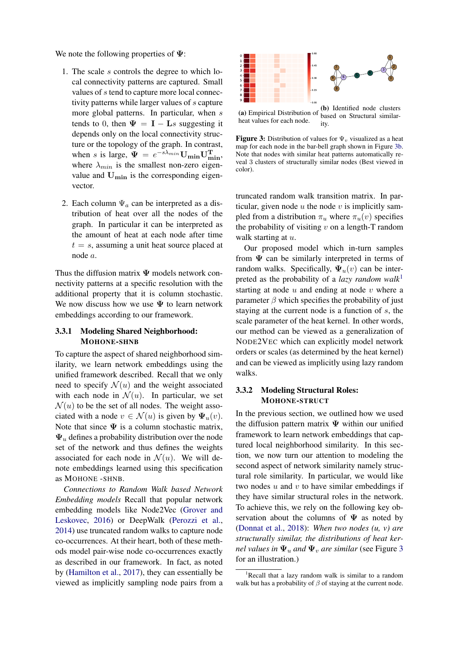We note the following properties of  $\Psi$ :

- 1. The scale s controls the degree to which local connectivity patterns are captured. Small values of s tend to capture more local connectivity patterns while larger values of s capture more global patterns. In particular, when s tends to 0, then  $\Psi = I - Ls$  suggesting it depends only on the local connectivity structure or the topology of the graph. In contrast, when s is large,  $\Psi = e^{-s\lambda_{min}} \mathbf{U_{min}} \mathbf{U_{min}^T}$ , where  $\lambda_{min}$  is the smallest non-zero eigenvalue and  $U_{\text{min}}$  is the corresponding eigenvector.
- 2. Each column  $\Psi_a$  can be interpreted as a distribution of heat over all the nodes of the graph. In particular it can be interpreted as the amount of heat at each node after time  $t = s$ , assuming a unit heat source placed at node a.

Thus the diffusion matrix  $\Psi$  models network connectivity patterns at a specific resolution with the additional property that it is column stochastic. We now discuss how we use  $\Psi$  to learn network embeddings according to our framework.

### 3.3.1 Modeling Shared Neighborhood: MOHONE-SHNB

To capture the aspect of shared neighborhood similarity, we learn network embeddings using the unified framework described. Recall that we only need to specify  $\mathcal{N}(u)$  and the weight associated with each node in  $\mathcal{N}(u)$ . In particular, we set  $\mathcal{N}(u)$  to be the set of all nodes. The weight associated with a node  $v \in \mathcal{N}(u)$  is given by  $\Psi_u(v)$ . Note that since  $\Psi$  is a column stochastic matrix,  $\Psi_u$  defines a probability distribution over the node set of the network and thus defines the weights associated for each node in  $\mathcal{N}(u)$ . We will denote embeddings learned using this specification as MOHONE -SHNB.

*Connections to Random Walk based Network Embedding models* Recall that popular network embedding models like Node2Vec [\(Grover and](#page-9-14) [Leskovec,](#page-9-14) [2016\)](#page-9-14) or DeepWalk [\(Perozzi et al.,](#page-9-13) [2014\)](#page-9-13) use truncated random walks to capture node co-occurrences. At their heart, both of these methods model pair-wise node co-occurrences exactly as described in our framework. In fact, as noted by [\(Hamilton et al.,](#page-9-18) [2017\)](#page-9-18), they can essentially be viewed as implicitly sampling node pairs from a

<span id="page-4-0"></span>

(a) Empirical Distribution of heat values for each node. based on Structural similarity.

**Figure 3:** Distribution of values for  $\Psi$ <sub>*v*</sub> visualized as a heat map for each node in the bar-bell graph shown in Figure [3b.](#page-4-0) Note that nodes with similar heat patterns automatically reveal 3 clusters of structurally similar nodes (Best viewed in color).

truncated random walk transition matrix. In particular, given node  $u$  the node  $v$  is implicitly sampled from a distribution  $\pi_u$  where  $\pi_u(v)$  specifies the probability of visiting  $v$  on a length-T random walk starting at  $u$ .

Our proposed model which in-turn samples from  $\Psi$  can be similarly interpreted in terms of random walks. Specifically,  $\Psi_u(v)$  can be interpreted as the probability of a *lazy random walk*[1](#page-4-1) starting at node  $u$  and ending at node  $v$  where a parameter  $\beta$  which specifies the probability of just staying at the current node is a function of s, the scale parameter of the heat kernel. In other words, our method can be viewed as a generalization of NODE2VEC which can explicitly model network orders or scales (as determined by the heat kernel) and can be viewed as implicitly using lazy random walks.

### 3.3.2 Modeling Structural Roles: MOHONE-STRUCT

In the previous section, we outlined how we used the diffusion pattern matrix  $\Psi$  within our unified framework to learn network embeddings that captured local neighborhood similarity. In this section, we now turn our attention to modeling the second aspect of network similarity namely structural role similarity. In particular, we would like two nodes  $u$  and  $v$  to have similar embeddings if they have similar structural roles in the network. To achieve this, we rely on the following key observation about the columns of  $\Psi$  as noted by [\(Donnat et al.,](#page-9-15) [2018\)](#page-9-15): *When two nodes (u, v) are structurally similar, the distributions of heat kernel values in*  $\Psi_u$  *and*  $\Psi_v$  *are similar* (see Figure [3](#page-4-0)) for an illustration.)

<span id="page-4-1"></span><sup>&</sup>lt;sup>1</sup>Recall that a lazy random walk is similar to a random walk but has a probability of  $\beta$  of staying at the current node.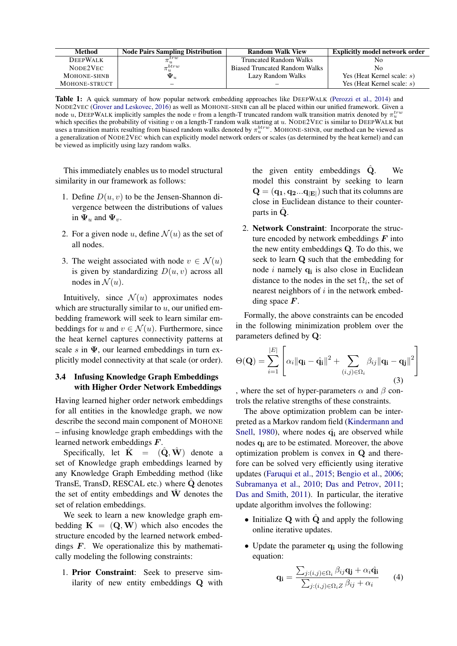| Method          | <b>Node Pairs Sampling Distribution</b> | <b>Random Walk View</b>              | <b>Explicitly model network order</b> |
|-----------------|-----------------------------------------|--------------------------------------|---------------------------------------|
| <b>DEEPWALK</b> | .trw<br>$\pi_u^-$                       | <b>Truncated Random Walks</b>        | No                                    |
| NODE2VEC        | $\pi_u^{btrw}$                          | <b>Biased Truncated Random Walks</b> | No                                    |
| MOHONE-SHNB     | $\mathbf{\Psi}_u$                       | Lazy Random Walks                    | Yes (Heat Kernel scale: $s$ )         |
| MOHONE-STRUCT   | –                                       | –                                    | Yes (Heat Kernel scale: $s$ )         |

Table 1: A quick summary of how popular network embedding approaches like DEEPWALK [\(Perozzi et al.,](#page-9-13) [2014\)](#page-9-13) and NODE2VEC [\(Grover and Leskovec,](#page-9-14) [2016\)](#page-9-14) as well as MOHONE-SHNB can all be placed within our unified framework. Given a node u, DEEPWALK implicitly samples the node v from a length-T truncated random walk transition matrix denoted by  $\pi_u^{true}$ which specifies the probability of visiting  $v$  on a length-T random walk starting at  $u$ . NODE2VEC is similar to DEEPWALK but uses a transition matrix resulting from biased random walks denoted by  $\pi_u^{btrw}$ . MOHONE-SHNB, our method can be viewed as a generalization of NODE2VEC which can explicitly model network orders or scales (as determined by the heat kernel) and can be viewed as implicitly using lazy random walks.

This immediately enables us to model structural similarity in our framework as follows:

- 1. Define  $D(u, v)$  to be the Jensen-Shannon divergence between the distributions of values in  $\Psi_u$  and  $\Psi_v$ .
- 2. For a given node u, define  $\mathcal{N}(u)$  as the set of all nodes.
- 3. The weight associated with node  $v \in \mathcal{N}(u)$ is given by standardizing  $D(u, v)$  across all nodes in  $\mathcal{N}(u)$ .

Intuitively, since  $\mathcal{N}(u)$  approximates nodes which are structurally similar to  $u$ , our unified embedding framework will seek to learn similar embeddings for u and  $v \in \mathcal{N}(u)$ . Furthermore, since the heat kernel captures connectivity patterns at scale s in  $\Psi$ , our learned embeddings in turn explicitly model connectivity at that scale (or order).

### 3.4 Infusing Knowledge Graph Embeddings with Higher Order Network Embeddings

Having learned higher order network embeddings for all entities in the knowledge graph, we now describe the second main component of MOHONE – infusing knowledge graph embeddings with the learned network embeddings F.

Specifically, let  $K = (Q, W)$  denote a set of Knowledge graph embeddings learned by any Knowledge Graph Embedding method (like TransE, TransD, RESCAL etc.) where  $\hat{Q}$  denotes the set of entity embeddings and  $\hat{W}$  denotes the set of relation embeddings.

We seek to learn a new knowledge graph embedding  $K = (Q, W)$  which also encodes the structure encoded by the learned network embeddings  $F$ . We operationalize this by mathematically modeling the following constraints:

1. Prior Constraint: Seek to preserve similarity of new entity embeddings Q with the given entity embeddings  $\dot{Q}$ . We model this constraint by seeking to learn  $\mathbf{Q} = (\mathbf{q_1}, \mathbf{q_2}...\mathbf{q_{|E|}})$  such that its columns are close in Euclidean distance to their counterparts in  $Q$ .

2. Network Constraint: Incorporate the structure encoded by network embeddings  $F$  into the new entity embeddings Q. To do this, we seek to learn Q such that the embedding for node  $i$  namely  $q_i$  is also close in Euclidean distance to the nodes in the set  $\Omega_i$ , the set of nearest neighbors of  $i$  in the network embedding space  $\boldsymbol{F}$ .

Formally, the above constraints can be encoded in the following minimization problem over the parameters defined by Q:

$$
\Theta(\mathbf{Q}) = \sum_{i=1}^{|E|} \left[ \alpha_i ||\mathbf{q_i} - \hat{\mathbf{q_i}}||^2 + \sum_{(i,j) \in \Omega_i} \beta_{ij} ||\mathbf{q_i} - \mathbf{q_j}||^2 \right]
$$
(3)

, where the set of hyper-parameters  $\alpha$  and  $\beta$  controls the relative strengths of these constraints.

The above optimization problem can be interpreted as a Markov random field [\(Kindermann and](#page-9-19) [Snell,](#page-9-19) [1980\)](#page-9-19), where nodes  $\hat{q}_i$  are observed while nodes  $q_i$  are to be estimated. Moreover, the above optimization problem is convex in Q and therefore can be solved very efficiently using iterative updates [\(Faruqui et al.,](#page-9-20) [2015;](#page-9-20) [Bengio et al.,](#page-8-1) [2006;](#page-8-1) [Subramanya et al.,](#page-9-21) [2010;](#page-9-21) [Das and Petrov,](#page-9-22) [2011;](#page-9-22) [Das and Smith,](#page-9-23) [2011\)](#page-9-23). In particular, the iterative update algorithm involves the following:

- Initialize  $Q$  with  $\hat{Q}$  and apply the following online iterative updates.
- Update the parameter  $q_i$  using the following equation:

$$
\mathbf{q_i} = \frac{\sum_{j:(i,j)\in\Omega_i} \beta_{ij}\mathbf{q_j} + \alpha_i\hat{\mathbf{q_i}}}{\sum_{j:(i,j)\in\Omega_i Z} \beta_{ij} + \alpha_i}
$$
(4)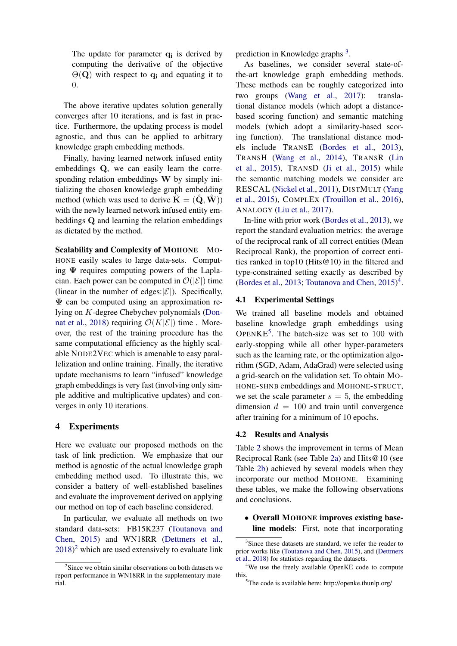The update for parameter  $q_i$  is derived by computing the derivative of the objective  $\Theta(\mathbf{Q})$  with respect to  $\mathbf{q}_i$  and equating it to 0.

The above iterative updates solution generally converges after 10 iterations, and is fast in practice. Furthermore, the updating process is model agnostic, and thus can be applied to arbitrary knowledge graph embedding methods.

Finally, having learned network infused entity embeddings Q, we can easily learn the corresponding relation embeddings W by simply initializing the chosen knowledge graph embedding method (which was used to derive  $\hat{\mathbf{K}} = (\hat{\mathbf{Q}}, \hat{\mathbf{W}})$ ) with the newly learned network infused entity embeddings Q and learning the relation embeddings as dictated by the method.

Scalability and Complexity of MOHONE MO-HONE easily scales to large data-sets. Computing  $\Psi$  requires computing powers of the Laplacian. Each power can be computed in  $\mathcal{O}(|\mathcal{E}|)$  time (linear in the number of edges: $|\mathcal{E}|$ ). Specifically,  $\Psi$  can be computed using an approximation relying on K-degree Chebychev polynomials [\(Don](#page-9-15)[nat et al.,](#page-9-15) [2018\)](#page-9-15) requiring  $\mathcal{O}(K|\mathcal{E}|)$  time. Moreover, the rest of the training procedure has the same computational efficiency as the highly scalable NODE2VEC which is amenable to easy parallelization and online training. Finally, the iterative update mechanisms to learn "infused" knowledge graph embeddings is very fast (involving only simple additive and multiplicative updates) and converges in only 10 iterations.

#### 4 Experiments

Here we evaluate our proposed methods on the task of link prediction. We emphasize that our method is agnostic of the actual knowledge graph embedding method used. To illustrate this, we consider a battery of well-established baselines and evaluate the improvement derived on applying our method on top of each baseline considered.

In particular, we evaluate all methods on two standard data-sets: FB15K237 [\(Toutanova and](#page-9-24) [Chen,](#page-9-24) [2015\)](#page-9-24) and WN18RR [\(Dettmers et al.,](#page-9-6)  $2018)^2$  $2018)^2$  $2018)^2$  which are used extensively to evaluate link

prediction in Knowledge graphs<sup>[3](#page-6-1)</sup>.

As baselines, we consider several state-ofthe-art knowledge graph embedding methods. These methods can be roughly categorized into two groups [\(Wang et al.,](#page-9-7) [2017\)](#page-9-7): translational distance models (which adopt a distancebased scoring function) and semantic matching models (which adopt a similarity-based scoring function). The translational distance models include TRANSE [\(Bordes et al.,](#page-9-2) [2013\)](#page-9-2), TRANSH [\(Wang et al.,](#page-9-8) [2014\)](#page-9-8), TRANSR [\(Lin](#page-9-9) [et al.,](#page-9-9) [2015\)](#page-9-9), TRANSD [\(Ji et al.,](#page-9-4) [2015\)](#page-9-4) while the semantic matching models we consider are RESCAL [\(Nickel et al.,](#page-9-1) [2011\)](#page-9-1), DISTMULT [\(Yang](#page-9-3) [et al.,](#page-9-3) [2015\)](#page-9-3), COMPLEX [\(Trouillon et al.,](#page-9-5) [2016\)](#page-9-5), ANALOGY [\(Liu et al.,](#page-9-25) [2017\)](#page-9-25).

In-line with prior work [\(Bordes et al.,](#page-9-2) [2013\)](#page-9-2), we report the standard evaluation metrics: the average of the reciprocal rank of all correct entities (Mean Reciprocal Rank), the proportion of correct entities ranked in top10 (Hits $@10$ ) in the filtered and type-constrained setting exactly as described by [\(Bordes et al.,](#page-9-2) [2013;](#page-9-2) [Toutanova and Chen,](#page-9-24) [2015\)](#page-9-24) [4](#page-6-2) .

### 4.1 Experimental Settings

We trained all baseline models and obtained baseline knowledge graph embeddings using OPEN $KE^5$  $KE^5$ . The batch-size was set to 100 with early-stopping while all other hyper-parameters such as the learning rate, or the optimization algorithm (SGD, Adam, AdaGrad) were selected using a grid-search on the validation set. To obtain MO-HONE-SHNB embeddings and MOHONE-STRUCT, we set the scale parameter  $s = 5$ , the embedding dimension  $d = 100$  and train until convergence after training for a minimum of 10 epochs.

#### 4.2 Results and Analysis

Table [2](#page-7-0) shows the improvement in terms of Mean Reciprocal Rank (see Table [2a\)](#page-7-0) and Hits@10 (see Table [2b\)](#page-7-0) achieved by several models when they incorporate our method MOHONE. Examining these tables, we make the following observations and conclusions.

• Overall MOHONE improves existing baseline models: First, note that incorporating

<span id="page-6-0"></span><sup>&</sup>lt;sup>2</sup>Since we obtain similar observations on both datasets we report performance in WN18RR in the supplementary material.

<span id="page-6-1"></span><sup>&</sup>lt;sup>3</sup>Since these datasets are standard, we refer the reader to prior works like [\(Toutanova and Chen,](#page-9-24) [2015\)](#page-9-24), and [\(Dettmers](#page-9-6) [et al.,](#page-9-6) [2018\)](#page-9-6) for statistics regarding the datasets.

<span id="page-6-2"></span><sup>4</sup>We use the freely available OpenKE code to compute this.

<span id="page-6-3"></span><sup>5</sup>The code is available here: http://openke.thunlp.org/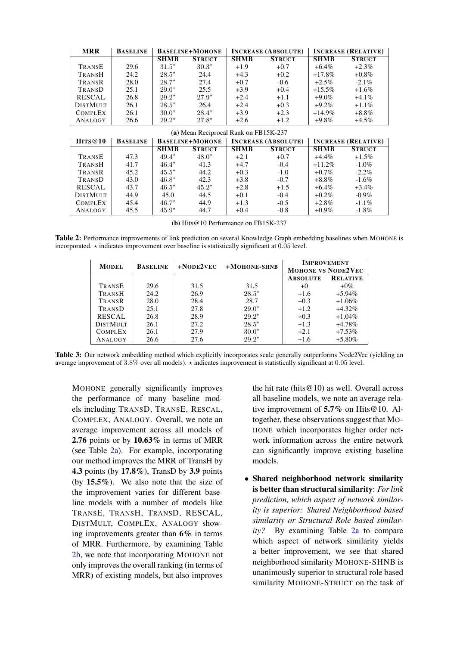<span id="page-7-0"></span>

| <b>MRR</b>                            | <b>BASELINE</b> | <b>BASELINE+MOHONE</b> |                | <b>INCREASE (ABSOLUTE)</b> |               | <b>INCREASE (RELATIVE)</b> |               |
|---------------------------------------|-----------------|------------------------|----------------|----------------------------|---------------|----------------------------|---------------|
|                                       |                 | <b>SHMB</b>            | <b>STRUCT</b>  | <b>SHMB</b>                | <b>STRUCT</b> | <b>SHMB</b>                | <b>STRUCT</b> |
| TRANSE                                | 29.6            | $31.5*$                | $30.3*$        | $+1.9$                     | $+0.7$        | $+6.4\%$                   | $+2.3\%$      |
| TRANSH                                | 24.2            | $28.5*$                | 24.4           | $+4.3$                     | $+0.2$        | $+17.8\%$                  | $+0.8\%$      |
| TRANSR                                | 28.0            | $28.7*$                | 27.4           | $+0.7$                     | $-0.6$        | $+2.5\%$                   | $-2.1\%$      |
| TRANSD                                | 25.1            | $29.0*$                | 25.5           | $+3.9$                     | $+0.4$        | $+15.5\%$                  | $+1.6\%$      |
| <b>RESCAL</b>                         | 26.8            | $29.2^{\star}$         | $27.9*$        | $+2.4$                     | $+1.1$        | $+9.0\%$                   | $+4.1\%$      |
| <b>DISTMULT</b>                       | 26.1            | $28.5*$                | 26.4           | $+2.4$                     | $+0.3$        | $+9.2\%$                   | $+1.1\%$      |
| <b>COMPLEX</b>                        | 26.1            | $30.0*$                | $28.4^{\star}$ | $+3.9$                     | $+2.3$        | $+14.9\%$                  | $+8.8\%$      |
| ANALOGY                               | 26.6            | $29.2^{\star}$         | $27.8*$        | $+2.6$                     | $+1.2$        | $+9.8\%$                   | $+4.5\%$      |
| (a) Mean Reciprocal Rank on FB15K-237 |                 |                        |                |                            |               |                            |               |
| HITS@10                               | <b>BASELINE</b> | <b>BASELINE+MOHONE</b> |                | <b>INCREASE (ABSOLUTE)</b> |               | <b>INCREASE (RELATIVE)</b> |               |
|                                       |                 | <b>SHMB</b>            | <b>STRUCT</b>  | <b>SHMB</b>                | <b>STRUCT</b> | <b>SHMB</b>                | <b>STRUCT</b> |
| TRANSE                                | 47.3            | $49.4^{\star}$         | $48.0*$        | $+2.1$                     | $+0.7$        | $+4.4\%$                   | $+1.5\%$      |
| TRANSH                                | 41.7            | $46.4*$                | 41.3           | $+4.7$                     | $-0.4$        | $+11.2%$                   | $-1.0\%$      |
| TRANSR                                | 45.2            | $45.5*$                | 44.2           | $+0.3$                     | $-1.0$        | $+0.7\%$                   | $-2.2\%$      |
| TRANSD                                | 43.0            | $46.8*$                | 42.3           | $+3.8$                     | $-0.7$        | $+8.8\%$                   | $-1.6\%$      |
| <b>RESCAL</b>                         | 43.7            | $46.5*$                | $45.2*$        | $+2.8$                     | $+1.5$        | $+6.4\%$                   | $+3.4\%$      |
| <b>DISTMULT</b>                       | 44.9            | 45.0                   | 44.5           | $+0.1$                     | $-0.4$        | $+0.2\%$                   | $-0.9\%$      |
| <b>COMPLEX</b>                        | 45.4            | $46.7*$                | 44.9           | $+1.3$                     | $-0.5$        | $+2.8\%$                   | $-1.1\%$      |
| ANALOGY                               | 45.5            | $45.9*$                | 44.7           | $+0.4$                     | $-0.8$        | $+0.9\%$                   | $-1.8\%$      |

(b) Hits@10 Performance on FB15K-237

<span id="page-7-1"></span>Table 2: Performance improvements of link prediction on several Knowledge Graph embedding baselines when MOHONE is incorporated.  $\star$  indicates improvement over baseline is statistically significant at 0.05 level.

| <b>MODEL</b>    | <b>BASELINE</b> | $+$ NODE $2$ VEC | $+M$ OHONE-SHNB | <b>IMPROVEMENT</b><br><b>MOHONE VS NODE2VEC</b> |                 |
|-----------------|-----------------|------------------|-----------------|-------------------------------------------------|-----------------|
|                 |                 |                  |                 | <b>ABSOLUTE</b>                                 | <b>RELATIVE</b> |
| TRANSE          | 29.6            | 31.5             | 31.5            | $+0$                                            | $+0\%$          |
| TRANSH          | 24.2            | 26.9             | $28.5*$         | $+1.6$                                          | $+5.94\%$       |
| TRANSR          | 28.0            | 28.4             | 28.7            | $+0.3$                                          | $+1.06\%$       |
| TRANSD          | 25.1            | 27.8             | $29.0*$         | $+1.2$                                          | $+4.32\%$       |
| <b>RESCAL</b>   | 26.8            | 28.9             | $29.2*$         | $+0.3$                                          | $+1.04\%$       |
| <b>DISTMULT</b> | 26.1            | 27.2             | $28.5*$         | $+1.3$                                          | $+4.78%$        |
| <b>COMPLEX</b>  | 26.1            | 27.9             | $30.0^{\star}$  | $+2.1$                                          | $+7.53\%$       |
| ANALOGY         | 26.6            | 27.6             | $29.2*$         | $+1.6$                                          | $+5.80\%$       |

Table 3: Our network embedding method which explicitly incorporates scale generally outperforms Node2Vec (yielding an average improvement of 3.8% over all models).  $\star$  indicates improvement is statistically significant at 0.05 level.

MOHONE generally significantly improves the performance of many baseline models including TRANSD, TRANSE, RESCAL, COMPLEX, ANALOGY. Overall, we note an average improvement across all models of 2.76 points or by 10.63% in terms of MRR (see Table [2a\)](#page-7-0). For example, incorporating our method improves the MRR of TransH by 4.3 points (by 17.8%), TransD by 3.9 points (by  $15.5\%$ ). We also note that the size of the improvement varies for different baseline models with a number of models like TRANSE, TRANSH, TRANSD, RESCAL, DISTMULT, COMPLEX, ANALOGY showing improvements greater than 6% in terms of MRR. Furthermore, by examining Table [2b,](#page-7-0) we note that incorporating MOHONE not only improves the overall ranking (in terms of MRR) of existing models, but also improves

the hit rate (hits  $@10$ ) as well. Overall across all baseline models, we note an average relative improvement of 5.7% on Hits@10. Altogether, these observations suggest that MO-HONE which incorporates higher order network information across the entire network can significantly improve existing baseline models.

• Shared neighborhood network similarity is better than structural similarity: *For link prediction, which aspect of network similarity is superior: Shared Neighborhood based similarity or Structural Role based similarity?* By examining Table [2a](#page-7-0) to compare which aspect of network similarity yields a better improvement, we see that shared neighborhood similarity MOHONE-SHNB is unanimously superior to structural role based similarity MOHONE-STRUCT on the task of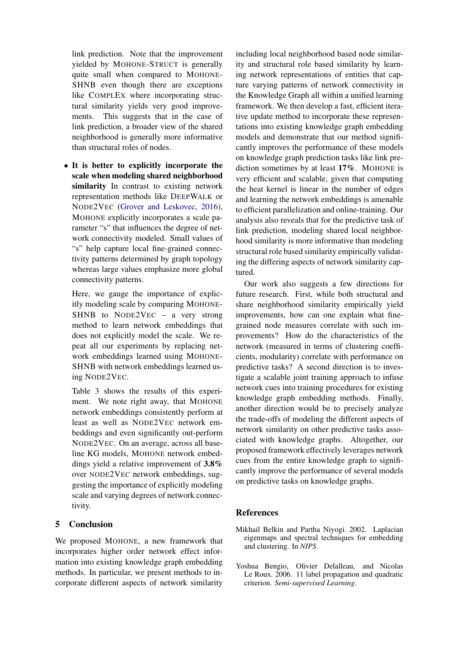link prediction. Note that the improvement yielded by MOHONE-STRUCT is generally quite small when compared to MOHONE-SHNB even though there are exceptions like COMPLEX where incorporating structural similarity yields very good improvements. This suggests that in the case of link prediction, a broader view of the shared neighborhood is generally more informative than structural roles of nodes.

• It is better to explicitly incorporate the scale when modeling shared neighborhood similarity In contrast to existing network representation methods like DEEPWALK or NODE2VEC [\(Grover and Leskovec,](#page-9-14) [2016\)](#page-9-14), MOHONE explicitly incorporates a scale parameter "s" that influences the degree of network connectivity modeled. Small values of "s" help capture local fine-grained connectivity patterns determined by graph topology whereas large values emphasize more global connectivity patterns.

Here, we gauge the importance of explicitly modeling scale by comparing MOHONE-SHNB to NODE2VEC – a very strong method to learn network embeddings that does not explicitly model the scale. We repeat all our experiments by replacing network embeddings learned using MOHONE-SHNB with network embeddings learned using NODE2VEC.

Table [3](#page-7-1) shows the results of this experiment. We note right away, that MOHONE network embeddings consistently perform at least as well as NODE2VEC network embeddings and even significantly out-perform NODE2VEC. On an average, across all baseline KG models, MOHONE network embeddings yield a relative improvement of 3.8% over NODE2VEC network embeddings, suggesting the importance of explicitly modeling scale and varying degrees of network connectivity.

# 5 Conclusion

We proposed MOHONE, a new framework that incorporates higher order network effect information into existing knowledge graph embedding methods. In particular, we present methods to incorporate different aspects of network similarity

including local neighborhood based node similarity and structural role based similarity by learning network representations of entities that capture varying patterns of network connectivity in the Knowledge Graph all within a unified learning framework. We then develop a fast, efficient iterative update method to incorporate these representations into existing knowledge graph embedding models and demonstrate that our method significantly improves the performance of these models on knowledge graph prediction tasks like link prediction sometimes by at least 17%. MOHONE is very efficient and scalable, given that computing the heat kernel is linear in the number of edges and learning the network embeddings is amenable to efficient parallelization and online-training. Our analysis also reveals that for the predictive task of link prediction, modeling shared local neighborhood similarity is more informative than modeling structural role based similarity empirically validating the differing aspects of network similarity captured.

Our work also suggests a few directions for future research. First, while both structural and share neighborhood similarity empirically yield improvements, how can one explain what finegrained node measures correlate with such improvements? How do the characteristics of the network (measured in terms of clustering coefficients, modularity) correlate with performance on predictive tasks? A second direction is to investigate a scalable joint training approach to infuse network cues into training procedures for existing knowledge graph embedding methods. Finally, another direction would be to precisely analyze the trade-offs of modeling the different aspects of network similarity on other predictive tasks associated with knowledge graphs. Altogether, our proposed framework effectively leverages network cues from the entire knowledge graph to significantly improve the performance of several models on predictive tasks on knowledge graphs.

# **References**

- <span id="page-8-0"></span>Mikhail Belkin and Partha Niyogi. 2002. Laplacian eigenmaps and spectral techniques for embedding and clustering. In *NIPS*.
- <span id="page-8-1"></span>Yoshua Bengio, Olivier Delalleau, and Nicolas Le Roux. 2006. 11 label propagation and quadratic criterion. *Semi-supervised Learning*.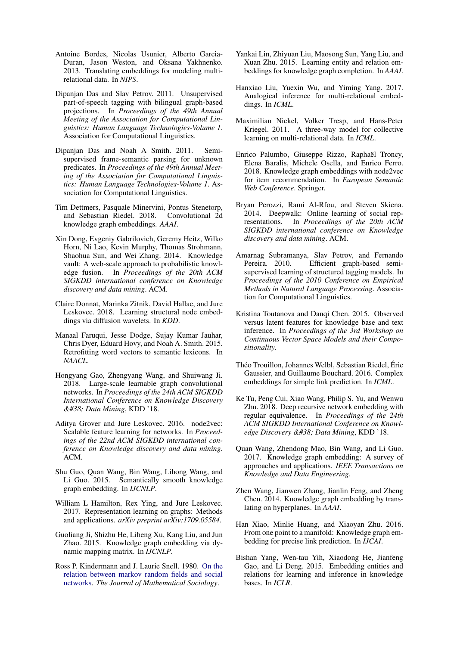- <span id="page-9-2"></span>Antoine Bordes, Nicolas Usunier, Alberto Garcia-Duran, Jason Weston, and Oksana Yakhnenko. 2013. Translating embeddings for modeling multirelational data. In *NIPS*.
- <span id="page-9-22"></span>Dipanjan Das and Slav Petrov. 2011. Unsupervised part-of-speech tagging with bilingual graph-based projections. In *Proceedings of the 49th Annual Meeting of the Association for Computational Linguistics: Human Language Technologies-Volume 1*. Association for Computational Linguistics.
- <span id="page-9-23"></span>Dipanjan Das and Noah A Smith. 2011. Semisupervised frame-semantic parsing for unknown predicates. In *Proceedings of the 49th Annual Meeting of the Association for Computational Linguistics: Human Language Technologies-Volume 1*. Association for Computational Linguistics.
- <span id="page-9-6"></span>Tim Dettmers, Pasquale Minervini, Pontus Stenetorp, and Sebastian Riedel. 2018. Convolutional 2d knowledge graph embeddings. *AAAI*.
- <span id="page-9-0"></span>Xin Dong, Evgeniy Gabrilovich, Geremy Heitz, Wilko Horn, Ni Lao, Kevin Murphy, Thomas Strohmann, Shaohua Sun, and Wei Zhang. 2014. Knowledge vault: A web-scale approach to probabilistic knowledge fusion. In *Proceedings of the 20th ACM SIGKDD international conference on Knowledge discovery and data mining*. ACM.
- <span id="page-9-15"></span>Claire Donnat, Marinka Zitnik, David Hallac, and Jure Leskovec. 2018. Learning structural node embeddings via diffusion wavelets. In *KDD*.
- <span id="page-9-20"></span>Manaal Faruqui, Jesse Dodge, Sujay Kumar Jauhar, Chris Dyer, Eduard Hovy, and Noah A. Smith. 2015. Retrofitting word vectors to semantic lexicons. In *NAACL*.
- <span id="page-9-17"></span>Hongyang Gao, Zhengyang Wang, and Shuiwang Ji. 2018. Large-scale learnable graph convolutional networks. In *Proceedings of the 24th ACM SIGKDD International Conference on Knowledge Discovery & Data Mining*, KDD '18.
- <span id="page-9-14"></span>Aditya Grover and Jure Leskovec. 2016. node2vec: Scalable feature learning for networks. In *Proceedings of the 22nd ACM SIGKDD international conference on Knowledge discovery and data mining*. ACM.
- <span id="page-9-11"></span>Shu Guo, Quan Wang, Bin Wang, Lihong Wang, and Li Guo. 2015. Semantically smooth knowledge graph embedding. In *IJCNLP*.
- <span id="page-9-18"></span>William L Hamilton, Rex Ying, and Jure Leskovec. 2017. Representation learning on graphs: Methods and applications. *arXiv preprint arXiv:1709.05584*.
- <span id="page-9-4"></span>Guoliang Ji, Shizhu He, Liheng Xu, Kang Liu, and Jun Zhao. 2015. Knowledge graph embedding via dynamic mapping matrix. In *IJCNLP*.
- <span id="page-9-19"></span>Ross P. Kindermann and J. Laurie Snell. 1980. [On the](https://doi.org/10.1080/0022250X.1980.9989895) [relation between markov random fields and social](https://doi.org/10.1080/0022250X.1980.9989895) [networks.](https://doi.org/10.1080/0022250X.1980.9989895) *The Journal of Mathematical Sociology*.
- <span id="page-9-9"></span>Yankai Lin, Zhiyuan Liu, Maosong Sun, Yang Liu, and Xuan Zhu. 2015. Learning entity and relation embeddings for knowledge graph completion. In *AAAI*.
- <span id="page-9-25"></span>Hanxiao Liu, Yuexin Wu, and Yiming Yang. 2017. Analogical inference for multi-relational embeddings. In *ICML*.
- <span id="page-9-1"></span>Maximilian Nickel, Volker Tresp, and Hans-Peter Kriegel. 2011. A three-way model for collective learning on multi-relational data. In *ICML*.
- <span id="page-9-12"></span>Enrico Palumbo, Giuseppe Rizzo, Raphaël Troncy, Elena Baralis, Michele Osella, and Enrico Ferro. 2018. Knowledge graph embeddings with node2vec for item recommendation. In *European Semantic Web Conference*. Springer.
- <span id="page-9-13"></span>Bryan Perozzi, Rami Al-Rfou, and Steven Skiena. 2014. Deepwalk: Online learning of social representations. In *Proceedings of the 20th ACM SIGKDD international conference on Knowledge discovery and data mining*. ACM.
- <span id="page-9-21"></span>Amarnag Subramanya, Slav Petrov, and Fernando Pereira. 2010. Efficient graph-based semisupervised learning of structured tagging models. In *Proceedings of the 2010 Conference on Empirical Methods in Natural Language Processing*. Association for Computational Linguistics.
- <span id="page-9-24"></span>Kristina Toutanova and Danqi Chen. 2015. Observed versus latent features for knowledge base and text inference. In *Proceedings of the 3rd Workshop on Continuous Vector Space Models and their Compositionality*.
- <span id="page-9-5"></span>Théo Trouillon, Johannes Welbl, Sebastian Riedel, Éric Gaussier, and Guillaume Bouchard. 2016. Complex embeddings for simple link prediction. In *ICML*.
- <span id="page-9-16"></span>Ke Tu, Peng Cui, Xiao Wang, Philip S. Yu, and Wenwu Zhu. 2018. Deep recursive network embedding with regular equivalence. In *Proceedings of the 24th ACM SIGKDD International Conference on Knowledge Discovery & Data Mining, KDD '18.*
- <span id="page-9-7"></span>Quan Wang, Zhendong Mao, Bin Wang, and Li Guo. 2017. Knowledge graph embedding: A survey of approaches and applications. *IEEE Transactions on Knowledge and Data Engineering*.
- <span id="page-9-8"></span>Zhen Wang, Jianwen Zhang, Jianlin Feng, and Zheng Chen. 2014. Knowledge graph embedding by translating on hyperplanes. In *AAAI*.
- <span id="page-9-10"></span>Han Xiao, Minlie Huang, and Xiaoyan Zhu. 2016. From one point to a manifold: Knowledge graph embedding for precise link prediction. In *IJCAI*.
- <span id="page-9-3"></span>Bishan Yang, Wen-tau Yih, Xiaodong He, Jianfeng Gao, and Li Deng. 2015. Embedding entities and relations for learning and inference in knowledge bases. In *ICLR*.